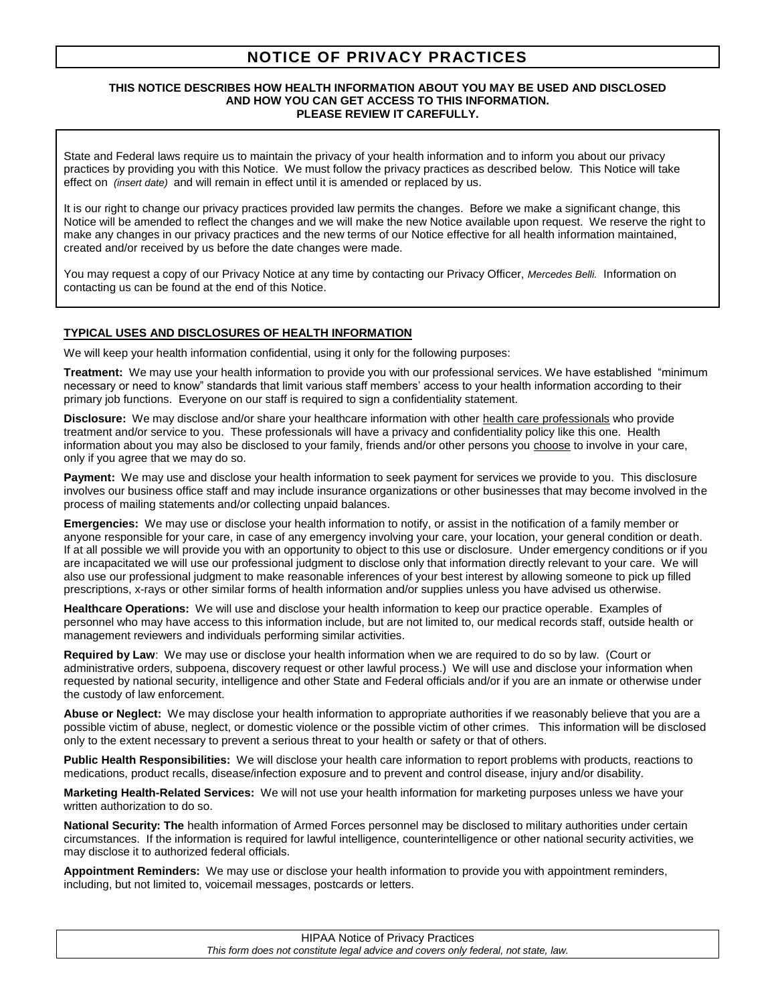# **NOTICE OF PRIVACY PRACTICES**

#### **THIS NOTICE DESCRIBES HOW HEALTH INFORMATION ABOUT YOU MAY BE USED AND DISCLOSED AND HOW YOU CAN GET ACCESS TO THIS INFORMATION. PLEASE REVIEW IT CAREFULLY.**

State and Federal laws require us to maintain the privacy of your health information and to inform you about our privacy practices by providing you with this Notice. We must follow the privacy practices as described below. This Notice will take effect on *(insert date)* and will remain in effect until it is amended or replaced by us.

It is our right to change our privacy practices provided law permits the changes. Before we make a significant change, this Notice will be amended to reflect the changes and we will make the new Notice available upon request. We reserve the right to make any changes in our privacy practices and the new terms of our Notice effective for all health information maintained, created and/or received by us before the date changes were made.

You may request a copy of our Privacy Notice at any time by contacting our Privacy Officer, *Mercedes Belli.* Information on contacting us can be found at the end of this Notice.

# **TYPICAL USES AND DISCLOSURES OF HEALTH INFORMATION**

We will keep your health information confidential, using it only for the following purposes:

**Treatment:** We may use your health information to provide you with our professional services. We have established "minimum necessary or need to know" standards that limit various staff members' access to your health information according to their primary job functions. Everyone on our staff is required to sign a confidentiality statement.

**Disclosure:** We may disclose and/or share your healthcare information with other health care professionals who provide treatment and/or service to you. These professionals will have a privacy and confidentiality policy like this one. Health information about you may also be disclosed to your family, friends and/or other persons you choose to involve in your care, only if you agree that we may do so.

**Payment:** We may use and disclose your health information to seek payment for services we provide to you. This disclosure involves our business office staff and may include insurance organizations or other businesses that may become involved in the process of mailing statements and/or collecting unpaid balances.

**Emergencies:** We may use or disclose your health information to notify, or assist in the notification of a family member or anyone responsible for your care, in case of any emergency involving your care, your location, your general condition or death. If at all possible we will provide you with an opportunity to object to this use or disclosure. Under emergency conditions or if you are incapacitated we will use our professional judgment to disclose only that information directly relevant to your care. We will also use our professional judgment to make reasonable inferences of your best interest by allowing someone to pick up filled prescriptions, x-rays or other similar forms of health information and/or supplies unless you have advised us otherwise.

**Healthcare Operations:** We will use and disclose your health information to keep our practice operable. Examples of personnel who may have access to this information include, but are not limited to, our medical records staff, outside health or management reviewers and individuals performing similar activities.

**Required by Law**: We may use or disclose your health information when we are required to do so by law. (Court or administrative orders, subpoena, discovery request or other lawful process.) We will use and disclose your information when requested by national security, intelligence and other State and Federal officials and/or if you are an inmate or otherwise under the custody of law enforcement.

**Abuse or Neglect:** We may disclose your health information to appropriate authorities if we reasonably believe that you are a possible victim of abuse, neglect, or domestic violence or the possible victim of other crimes. This information will be disclosed only to the extent necessary to prevent a serious threat to your health or safety or that of others.

**Public Health Responsibilities:** We will disclose your health care information to report problems with products, reactions to medications, product recalls, disease/infection exposure and to prevent and control disease, injury and/or disability.

**Marketing Health-Related Services:** We will not use your health information for marketing purposes unless we have your written authorization to do so.

**National Security: The** health information of Armed Forces personnel may be disclosed to military authorities under certain circumstances. If the information is required for lawful intelligence, counterintelligence or other national security activities, we may disclose it to authorized federal officials.

**Appointment Reminders:** We may use or disclose your health information to provide you with appointment reminders, including, but not limited to, voicemail messages, postcards or letters.